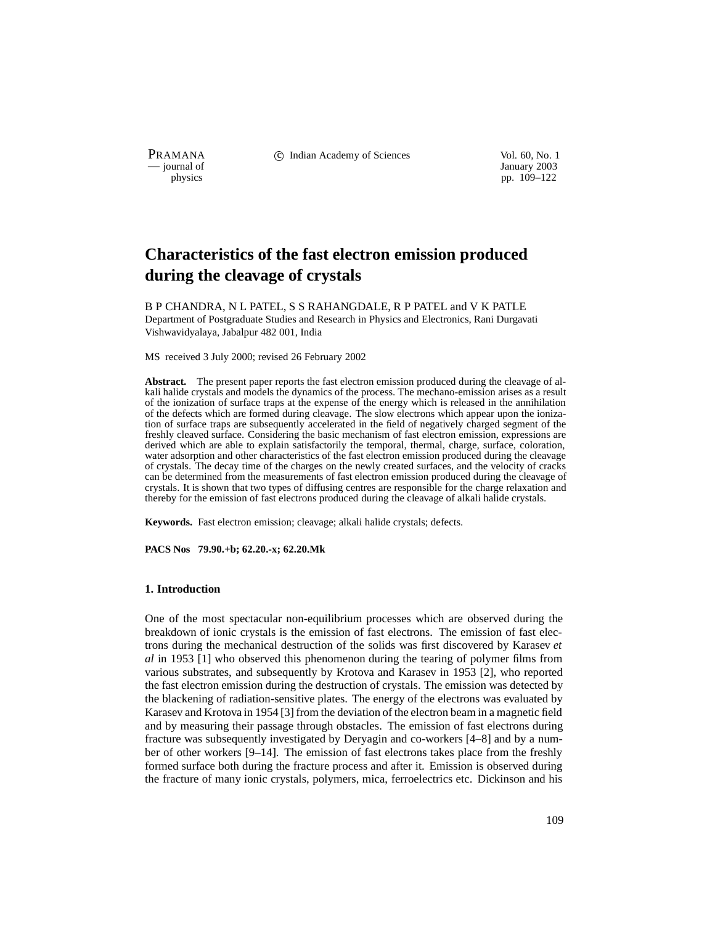PRAMANA 
<sup>c</sup> Indian Academy of Sciences 
<sup>Vol. 60, No. 1
<sup>1</sup> January 2003</sup>

January 2003 physics pp. 109–122

# **Characteristics of the fast electron emission produced during the cleavage of crystals**

B P CHANDRA, N L PATEL, S S RAHANGDALE, R P PATEL and V K PATLE Department of Postgraduate Studies and Research in Physics and Electronics, Rani Durgavati Vishwavidyalaya, Jabalpur 482 001, India

MS received 3 July 2000; revised 26 February 2002

**Abstract.** The present paper reports the fast electron emission produced during the cleavage of alkali halide crystals and models the dynamics of the process. The mechano-emission arises as a result of the ionization of surface traps at the expense of the energy which is released in the annihilation of the defects which are formed during cleavage. The slow electrons which appear upon the ionization of surface traps are subsequently accelerated in the field of negatively charged segment of the freshly cleaved surface. Considering the basic mechanism of fast electron emission, expressions are derived which are able to explain satisfactorily the temporal, thermal, charge, surface, coloration, water adsorption and other characteristics of the fast electron emission produced during the cleavage of crystals. The decay time of the charges on the newly created surfaces, and the velocity of cracks can be determined from the measurements of fast electron emission produced during the cleavage of crystals. It is shown that two types of diffusing centres are responsible for the charge relaxation and thereby for the emission of fast electrons produced during the cleavage of alkali halide crystals.

**Keywords.** Fast electron emission; cleavage; alkali halide crystals; defects.

**PACS Nos 79.90.+b; 62.20.-x; 62.20.Mk**

### **1. Introduction**

One of the most spectacular non-equilibrium processes which are observed during the breakdown of ionic crystals is the emission of fast electrons. The emission of fast electrons during the mechanical destruction of the solids was first discovered by Karasev *et al* in 1953 [1] who observed this phenomenon during the tearing of polymer films from various substrates, and subsequently by Krotova and Karasev in 1953 [2], who reported the fast electron emission during the destruction of crystals. The emission was detected by the blackening of radiation-sensitive plates. The energy of the electrons was evaluated by Karasev and Krotova in 1954 [3] from the deviation of the electron beam in a magnetic field and by measuring their passage through obstacles. The emission of fast electrons during fracture was subsequently investigated by Deryagin and co-workers [4–8] and by a number of other workers [9–14]. The emission of fast electrons takes place from the freshly formed surface both during the fracture process and after it. Emission is observed during the fracture of many ionic crystals, polymers, mica, ferroelectrics etc. Dickinson and his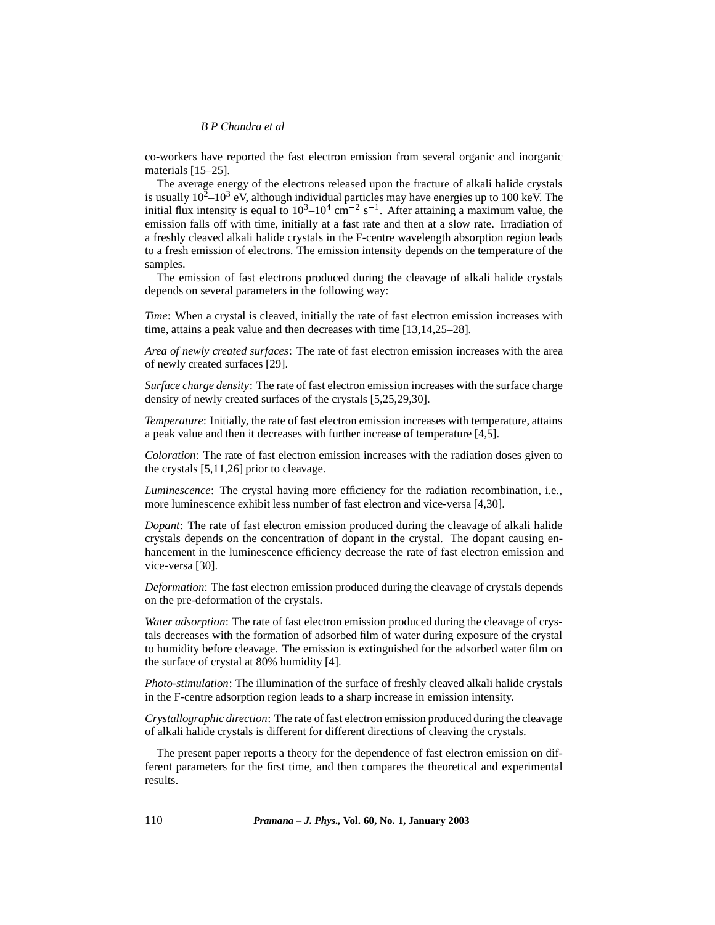co-workers have reported the fast electron emission from several organic and inorganic materials [15–25].

The average energy of the electrons released upon the fracture of alkali halide crystals is usually  $10^2$ – $10^3$  eV, although individual particles may have energies up to 100 keV. The initial flux intensity is equal to  $10^3-10^4$  cm<sup>-2</sup> s<sup>-1</sup>. After attaining a maximum value, the emission falls off with time, initially at a fast rate and then at a slow rate. Irradiation of a freshly cleaved alkali halide crystals in the F-centre wavelength absorption region leads to a fresh emission of electrons. The emission intensity depends on the temperature of the samples.

The emission of fast electrons produced during the cleavage of alkali halide crystals depends on several parameters in the following way:

*Time*: When a crystal is cleaved, initially the rate of fast electron emission increases with time, attains a peak value and then decreases with time [13,14,25–28].

*Area of newly created surfaces*: The rate of fast electron emission increases with the area of newly created surfaces [29].

*Surface charge density*: The rate of fast electron emission increases with the surface charge density of newly created surfaces of the crystals [5,25,29,30].

*Temperature*: Initially, the rate of fast electron emission increases with temperature, attains a peak value and then it decreases with further increase of temperature [4,5].

*Coloration*: The rate of fast electron emission increases with the radiation doses given to the crystals [5,11,26] prior to cleavage.

*Luminescence*: The crystal having more efficiency for the radiation recombination, i.e., more luminescence exhibit less number of fast electron and vice-versa [4,30].

*Dopant*: The rate of fast electron emission produced during the cleavage of alkali halide crystals depends on the concentration of dopant in the crystal. The dopant causing enhancement in the luminescence efficiency decrease the rate of fast electron emission and vice-versa [30].

*Deformation*: The fast electron emission produced during the cleavage of crystals depends on the pre-deformation of the crystals.

*Water adsorption*: The rate of fast electron emission produced during the cleavage of crystals decreases with the formation of adsorbed film of water during exposure of the crystal to humidity before cleavage. The emission is extinguished for the adsorbed water film on the surface of crystal at 80% humidity [4].

*Photo-stimulation*: The illumination of the surface of freshly cleaved alkali halide crystals in the F-centre adsorption region leads to a sharp increase in emission intensity.

*Crystallographic direction*: The rate of fast electron emission produced during the cleavage of alkali halide crystals is different for different directions of cleaving the crystals.

The present paper reports a theory for the dependence of fast electron emission on different parameters for the first time, and then compares the theoretical and experimental results.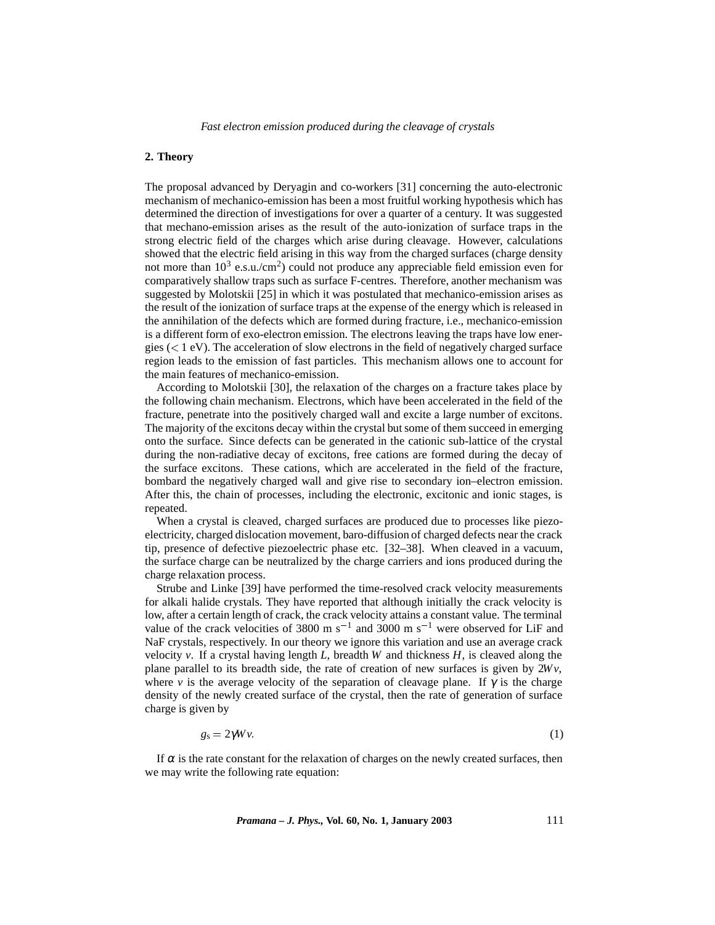# **2. Theory**

The proposal advanced by Deryagin and co-workers [31] concerning the auto-electronic mechanism of mechanico-emission has been a most fruitful working hypothesis which has determined the direction of investigations for over a quarter of a century. It was suggested that mechano-emission arises as the result of the auto-ionization of surface traps in the strong electric field of the charges which arise during cleavage. However, calculations showed that the electric field arising in this way from the charged surfaces (charge density not more than  $10^3$  e.s.u./cm<sup>2</sup>) could not produce any appreciable field emission even for comparatively shallow traps such as surface F-centres. Therefore, another mechanism was suggested by Molotskii [25] in which it was postulated that mechanico-emission arises as the result of the ionization of surface traps at the expense of the energy which is released in the annihilation of the defects which are formed during fracture, i.e., mechanico-emission is a different form of exo-electron emission. The electrons leaving the traps have low energies  $(< 1$  eV). The acceleration of slow electrons in the field of negatively charged surface region leads to the emission of fast particles. This mechanism allows one to account for the main features of mechanico-emission.

According to Molotskii [30], the relaxation of the charges on a fracture takes place by the following chain mechanism. Electrons, which have been accelerated in the field of the fracture, penetrate into the positively charged wall and excite a large number of excitons. The majority of the excitons decay within the crystal but some of them succeed in emerging onto the surface. Since defects can be generated in the cationic sub-lattice of the crystal during the non-radiative decay of excitons, free cations are formed during the decay of the surface excitons. These cations, which are accelerated in the field of the fracture, bombard the negatively charged wall and give rise to secondary ion–electron emission. After this, the chain of processes, including the electronic, excitonic and ionic stages, is repeated.

When a crystal is cleaved, charged surfaces are produced due to processes like piezoelectricity, charged dislocation movement, baro-diffusion of charged defects near the crack tip, presence of defective piezoelectric phase etc. [32–38]. When cleaved in a vacuum, the surface charge can be neutralized by the charge carriers and ions produced during the charge relaxation process.

Strube and Linke [39] have performed the time-resolved crack velocity measurements for alkali halide crystals. They have reported that although initially the crack velocity is low, after a certain length of crack, the crack velocity attains a constant value. The terminal value of the crack velocities of 3800 m s<sup>-1</sup> and 3000 m s<sup>-1</sup> were observed for LiF and NaF crystals, respectively. In our theory we ignore this variation and use an average crack velocity  $v$ . If a crystal having length  $L$ , breadth  $W$  and thickness  $H$ , is cleaved along the plane parallel to its breadth side, the rate of creation of new surfaces is given by 2*Wv*, where *v* is the average velocity of the separation of cleavage plane. If  $\gamma$  is the charge density of the newly created surface of the crystal, then the rate of generation of surface charge is given by

$$
g_s = 2\gamma Wv \tag{1}
$$

If  $\alpha$  is the rate constant for the relaxation of charges on the newly created surfaces, then we may write the following rate equation: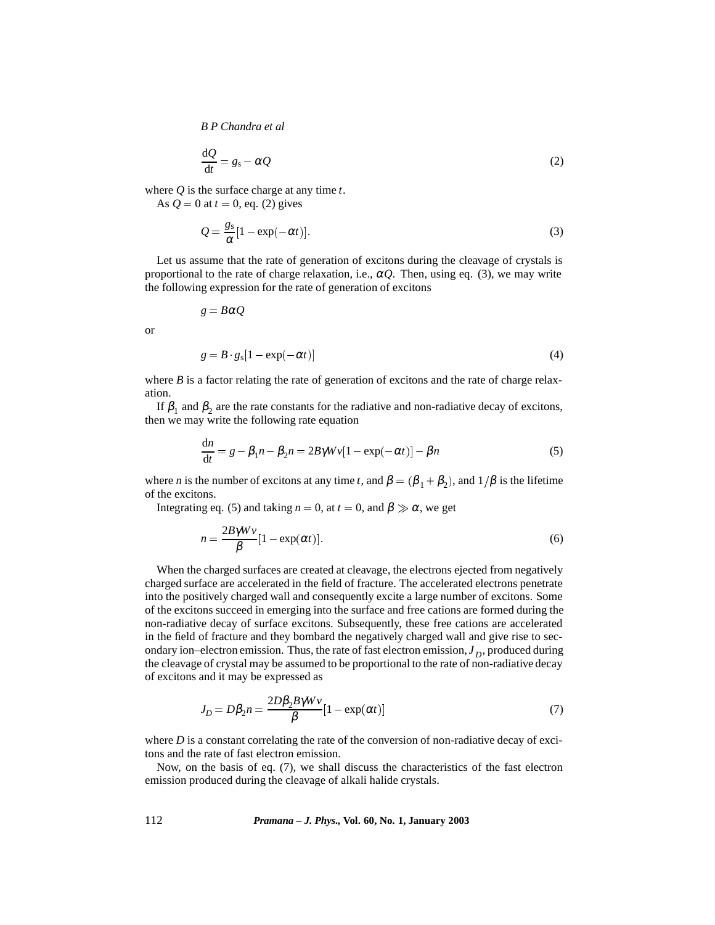$$
\frac{\mathrm{d}Q}{\mathrm{d}t} = g_s - \alpha Q \tag{2}
$$

where *Q* is the surface charge at any time *t*.

As  $Q = 0$  at  $t = 0$ , eq. (2) gives

$$
Q = \frac{g_s}{\alpha} [1 - \exp(-\alpha t)].
$$
\n(3)

Let us assume that the rate of generation of excitons during the cleavage of crystals is proportional to the rate of charge relaxation, i.e.,  $\alpha Q$ . Then, using eq. (3), we may write the following expression for the rate of generation of excitons

$$
g=B\alpha Q
$$

or

$$
g = B \cdot g_s [1 - \exp(-\alpha t)] \tag{4}
$$

where  $B$  is a factor relating the rate of generation of excitons and the rate of charge relaxation.

If  $\beta_1$  and  $\beta_2$  are the rate constants for the radiative and non-radiative decay of excitons, then we may write the following rate equation

$$
\frac{dn}{dt} = g - \beta_1 n - \beta_2 n = 2B\gamma W v [1 - \exp(-\alpha t)] - \beta n
$$
\n(5)

where *n* is the number of excitons at any time *t*, and  $\beta = (\beta_1 + \beta_2)$ , and  $1/\beta$  is the lifetime of the excitons.

Integrating eq. (5) and taking  $n = 0$ , at  $t = 0$ , and  $\beta \gg \alpha$ , we get

$$
n = \frac{2B\gamma W\nu}{\beta} [1 - \exp(\alpha t)].
$$
\n(6)

When the charged surfaces are created at cleavage, the electrons ejected from negatively charged surface are accelerated in the field of fracture. The accelerated electrons penetrate into the positively charged wall and consequently excite a large number of excitons. Some of the excitons succeed in emerging into the surface and free cations are formed during the non-radiative decay of surface excitons. Subsequently, these free cations are accelerated in the field of fracture and they bombard the negatively charged wall and give rise to secondary ion–electron emission. Thus, the rate of fast electron emission,  $J_D$ , produced during the cleavage of crystal may be assumed to be proportional to the rate of non-radiative decay of excitons and it may be expressed as

$$
J_D = D\beta_2 n = \frac{2D\beta_2 B\gamma W \nu}{\beta} [1 - \exp(\alpha t)]
$$
\n(7)

where  $D$  is a constant correlating the rate of the conversion of non-radiative decay of excitons and the rate of fast electron emission.

Now, on the basis of eq. (7), we shall discuss the characteristics of the fast electron emission produced during the cleavage of alkali halide crystals.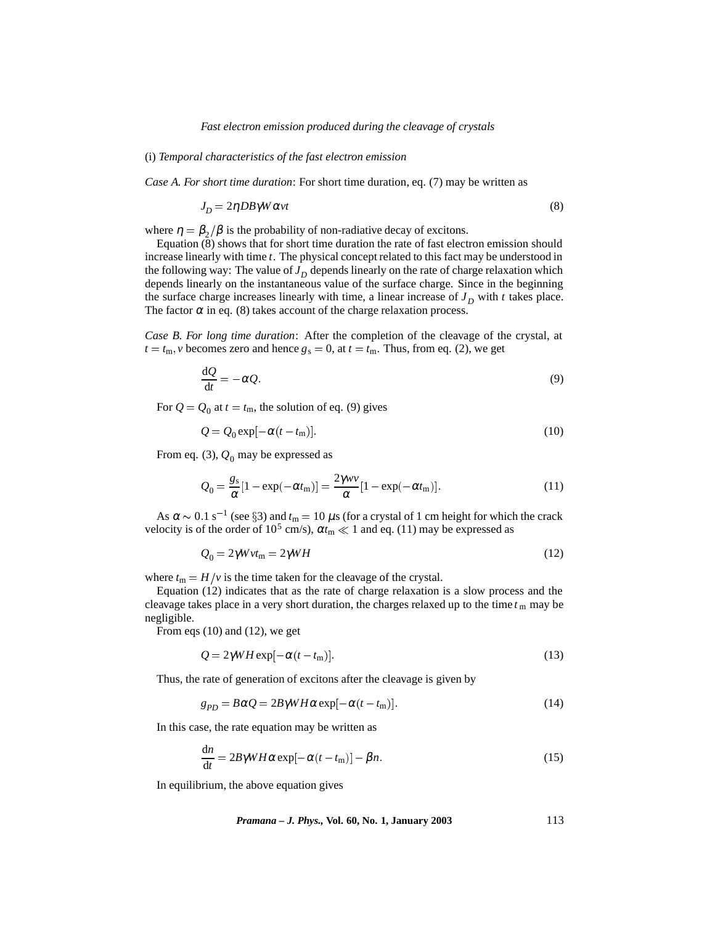#### (i) *Temporal characteristics of the fast electron emission*

*Case A. For short time duration*: For short time duration, eq. (7) may be written as

$$
J_D = 2\eta DB\gamma W \alpha vt \tag{8}
$$

where  $\eta = \beta_2/\beta$  is the probability of non-radiative decay of excitons.

Equation  $(\overline{8})$  shows that for short time duration the rate of fast electron emission should increase linearly with time *t*. The physical concept related to this fact may be understood in the following way: The value of  $J<sub>D</sub>$  depends linearly on the rate of charge relaxation which depends linearly on the instantaneous value of the surface charge. Since in the beginning the surface charge increases linearly with time, a linear increase of  $J<sub>D</sub>$  with  $t$  takes place. The factor  $\alpha$  in eq. (8) takes account of the charge relaxation process.

*Case B. For long time duration*: After the completion of the cleavage of the crystal, at  $t = t_m$ , *v* becomes zero and hence  $g_s = 0$ , at  $t = t_m$ . Thus, from eq. (2), we get

$$
\frac{\mathrm{d}Q}{\mathrm{d}t} = -\alpha Q. \tag{9}
$$

For  $Q = Q_0$  at  $t = t_m$ , the solution of eq. (9) gives

$$
Q = Q_0 \exp[-\alpha (t - t_m)].
$$
\n(10)

From eq. (3),  $Q_0$  may be expressed as

$$
Q_0 = \frac{g_s}{\alpha} [1 - \exp(-\alpha t_m)] = \frac{2\gamma w v}{\alpha} [1 - \exp(-\alpha t_m)].
$$
\n(11)

As  $\alpha \sim 0.1$  s<sup>-1</sup> (see §3) and  $t_m = 10 \mu s$  (for a crystal of 1 cm height for which the crack velocity is of the order of 10<sup>5</sup> cm/s),  $\alpha t_{\rm m} \ll 1$  and eq. (11) may be expressed as

$$
Q_0 = 2\gamma W v t_m = 2\gamma W H \tag{12}
$$

where  $t_m = H/v$  is the time taken for the cleavage of the crystal.

Equation (12) indicates that as the rate of charge relaxation is a slow process and the cleavage takes place in a very short duration, the charges relaxed up to the time  $t<sub>m</sub>$  may be negligible.

From eqs (10) and (12), we get

$$
Q = 2\gamma WH \exp[-\alpha(t - t_{\rm m})]. \tag{13}
$$

Thus, the rate of generation of excitons after the cleavage is given by

$$
g_{PD} = B\alpha Q = 2B\gamma W H \alpha \exp[-\alpha (t - t_m)].
$$
\n(14)

In this case, the rate equation may be written as

$$
\frac{dn}{dt} = 2B\gamma WH\alpha \exp[-\alpha(t - t_m)] - \beta n. \tag{15}
$$

In equilibrium, the above equation gives

*Pramana – J. Phys.,* **Vol. 60, No. 1, January 2003** 113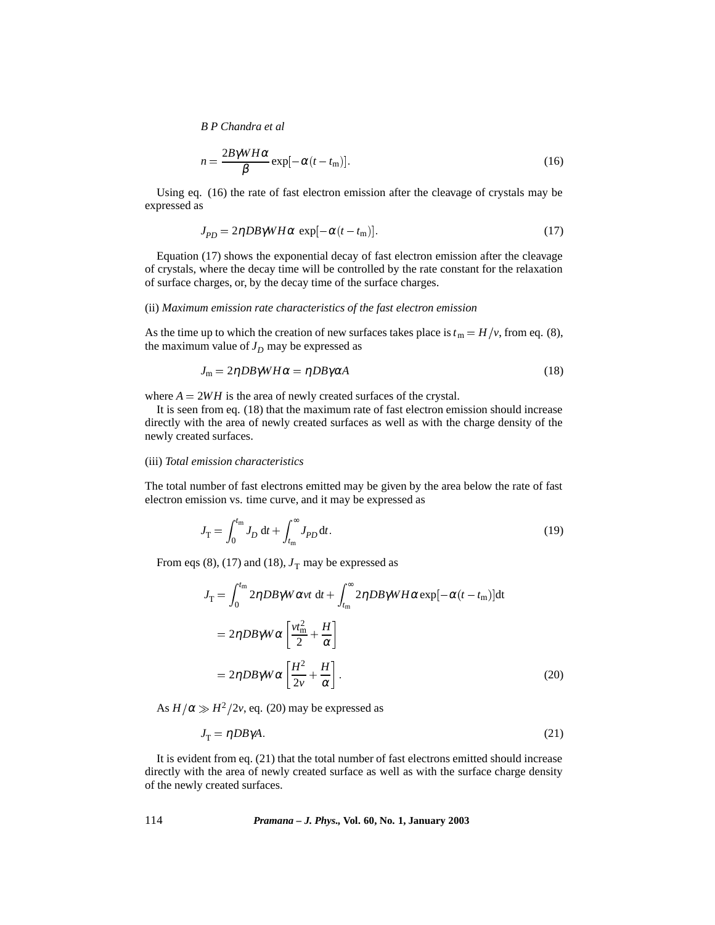$$
n = \frac{2B\gamma W H \alpha}{\beta} \exp[-\alpha (t - t_{\rm m})].
$$
 (16)

Using eq. (16) the rate of fast electron emission after the cleavage of crystals may be expressed as

$$
J_{PD} = 2\eta DB\gamma WH\alpha \, \exp[-\alpha(t - t_{\rm m})]. \tag{17}
$$

Equation (17) shows the exponential decay of fast electron emission after the cleavage of crystals, where the decay time will be controlled by the rate constant for the relaxation of surface charges, or, by the decay time of the surface charges.

## (ii) *Maximum emission rate characteristics of the fast electron emission*

As the time up to which the creation of new surfaces takes place is  $t_m = H/v$ , from eq. (8), the maximum value of  $J_D$  may be expressed as

$$
J_{\rm m} = 2\eta DB\gamma WH\alpha = \eta DB\gamma\alpha A\tag{18}
$$

where  $A = 2WH$  is the area of newly created surfaces of the crystal.

It is seen from eq. (18) that the maximum rate of fast electron emission should increase directly with the area of newly created surfaces as well as with the charge density of the newly created surfaces.

#### (iii) *Total emission characteristics*

The total number of fast electrons emitted may be given by the area below the rate of fast electron emission vs. time curve, and it may be expressed as

$$
J_{\rm T} = \int_0^{t_{\rm m}} J_D \, \mathrm{d}t + \int_{t_{\rm m}}^{\infty} J_{PD} \, \mathrm{d}t. \tag{19}
$$

From eqs (8), (17) and (18),  $J_T$  may be expressed as

$$
J_{\rm T} = \int_0^{t_{\rm m}} 2\eta DB\gamma W \alpha vt \, \mathrm{d}t + \int_{t_{\rm m}}^{\infty} 2\eta DB\gamma W H \alpha \exp[-\alpha(t - t_{\rm m})] \mathrm{d}t
$$
  

$$
= 2\eta DB\gamma W \alpha \left[ \frac{vt_{\rm m}^2}{2} + \frac{H}{\alpha} \right]
$$
  

$$
= 2\eta DB\gamma W \alpha \left[ \frac{H^2}{2v} + \frac{H}{\alpha} \right].
$$
 (20)

As  $H/\alpha \gg H^2/2v$ , eq. (20) may be expressed as

$$
J_{\rm T} = \eta D B \gamma A. \tag{21}
$$

It is evident from eq. (21) that the total number of fast electrons emitted should increase directly with the area of newly created surface as well as with the surface charge density of the newly created surfaces.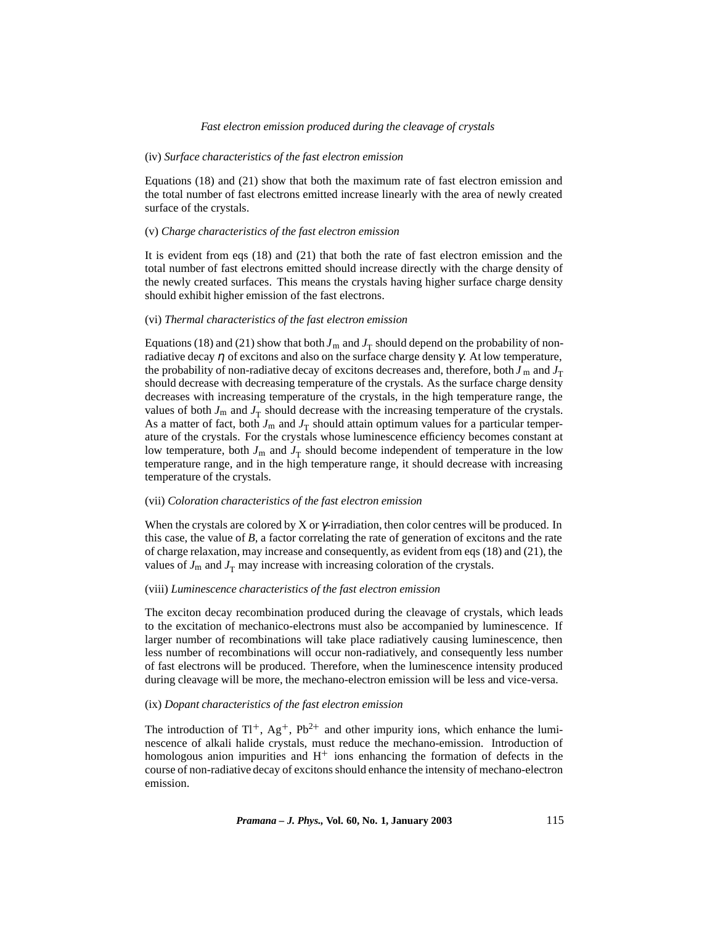#### (iv) *Surface characteristics of the fast electron emission*

Equations (18) and (21) show that both the maximum rate of fast electron emission and the total number of fast electrons emitted increase linearly with the area of newly created surface of the crystals.

## (v) *Charge characteristics of the fast electron emission*

It is evident from eqs (18) and (21) that both the rate of fast electron emission and the total number of fast electrons emitted should increase directly with the charge density of the newly created surfaces. This means the crystals having higher surface charge density should exhibit higher emission of the fast electrons.

## (vi) *Thermal characteristics of the fast electron emission*

Equations (18) and (21) show that both  $J_m$  and  $J_T$  should depend on the probability of nonradiative decay  $\eta$  of excitons and also on the surface charge density  $\gamma$ . At low temperature, the probability of non-radiative decay of excitons decreases and, therefore, both  $J_{\rm m}$  and  $J_{\rm T}$ should decrease with decreasing temperature of the crystals. As the surface charge density decreases with increasing temperature of the crystals, in the high temperature range, the values of both  $J_{\rm m}$  and  $J_{\rm T}$  should decrease with the increasing temperature of the crystals. As a matter of fact, both  $J_{\text{m}}$  and  $J_{\text{T}}$  should attain optimum values for a particular temperature of the crystals. For the crystals whose luminescence efficiency becomes constant at low temperature, both  $J_m$  and  $J_T$  should become independent of temperature in the low temperature range, and in the high temperature range, it should decrease with increasing temperature of the crystals.

#### (vii) *Coloration characteristics of the fast electron emission*

When the crystals are colored by X or  $\gamma$ -irradiation, then color centres will be produced. In this case, the value of *B*, a factor correlating the rate of generation of excitons and the rate of charge relaxation, may increase and consequently, as evident from eqs (18) and (21), the values of  $J_{\rm m}$  and  $J_{\rm T}$  may increase with increasing coloration of the crystals.

# (viii) *Luminescence characteristics of the fast electron emission*

The exciton decay recombination produced during the cleavage of crystals, which leads to the excitation of mechanico-electrons must also be accompanied by luminescence. If larger number of recombinations will take place radiatively causing luminescence, then less number of recombinations will occur non-radiatively, and consequently less number of fast electrons will be produced. Therefore, when the luminescence intensity produced during cleavage will be more, the mechano-electron emission will be less and vice-versa.

# (ix) *Dopant characteristics of the fast electron emission*

The introduction of  $Tl^+$ ,  $Ag^+$ ,  $Pb^{2+}$  and other impurity ions, which enhance the luminescence of alkali halide crystals, must reduce the mechano-emission. Introduction of homologous anion impurities and  $H^+$  ions enhancing the formation of defects in the course of non-radiative decay of excitons should enhance the intensity of mechano-electron emission.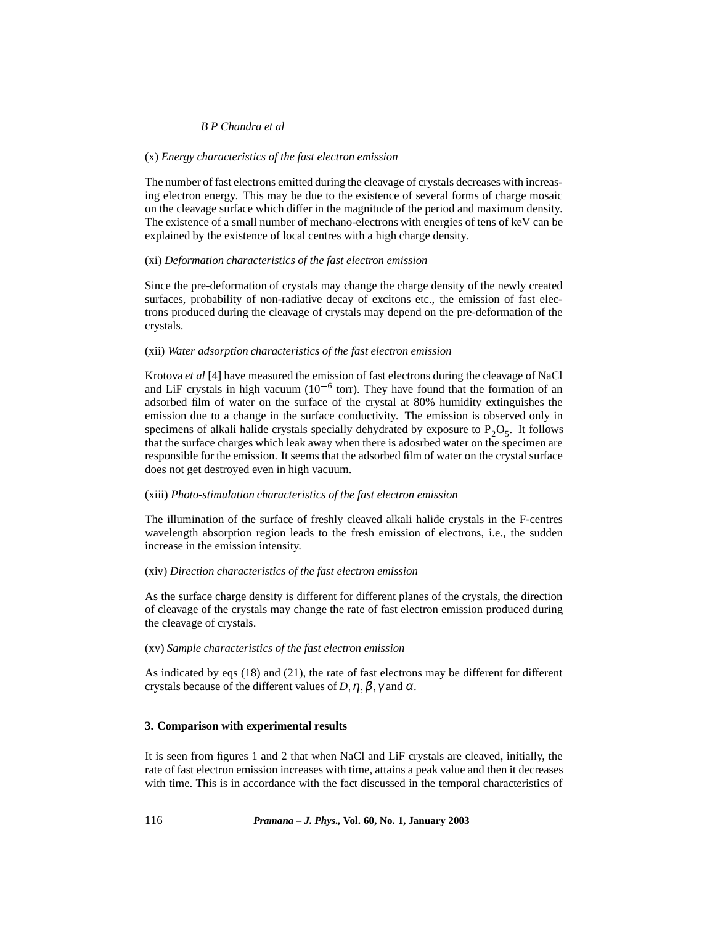## (x) *Energy characteristics of the fast electron emission*

The number of fast electrons emitted during the cleavage of crystals decreases with increasing electron energy. This may be due to the existence of several forms of charge mosaic on the cleavage surface which differ in the magnitude of the period and maximum density. The existence of a small number of mechano-electrons with energies of tens of keV can be explained by the existence of local centres with a high charge density.

#### (xi) *Deformation characteristics of the fast electron emission*

Since the pre-deformation of crystals may change the charge density of the newly created surfaces, probability of non-radiative decay of excitons etc., the emission of fast electrons produced during the cleavage of crystals may depend on the pre-deformation of the crystals.

#### (xii) *Water adsorption characteristics of the fast electron emission*

Krotova *et al* [4] have measured the emission of fast electrons during the cleavage of NaCl and LiF crystals in high vacuum  $(10^{-6}$  torr). They have found that the formation of an adsorbed film of water on the surface of the crystal at 80% humidity extinguishes the emission due to a change in the surface conductivity. The emission is observed only in specimens of alkali halide crystals specially dehydrated by exposure to  $P_2O_5$ . It follows that the surface charges which leak away when there is adosrbed water on the specimen are responsible for the emission. It seems that the adsorbed film of water on the crystal surface does not get destroyed even in high vacuum.

# (xiii) *Photo-stimulation characteristics of the fast electron emission*

The illumination of the surface of freshly cleaved alkali halide crystals in the F-centres wavelength absorption region leads to the fresh emission of electrons, i.e., the sudden increase in the emission intensity.

# (xiv) *Direction characteristics of the fast electron emission*

As the surface charge density is different for different planes of the crystals, the direction of cleavage of the crystals may change the rate of fast electron emission produced during the cleavage of crystals.

# (xv) *Sample characteristics of the fast electron emission*

As indicated by eqs (18) and (21), the rate of fast electrons may be different for different crystals because of the different values of  $D, \eta, \beta, \gamma$  and  $\alpha$ .

## **3. Comparison with experimental results**

It is seen from figures 1 and 2 that when NaCl and LiF crystals are cleaved, initially, the rate of fast electron emission increases with time, attains a peak value and then it decreases with time. This is in accordance with the fact discussed in the temporal characteristics of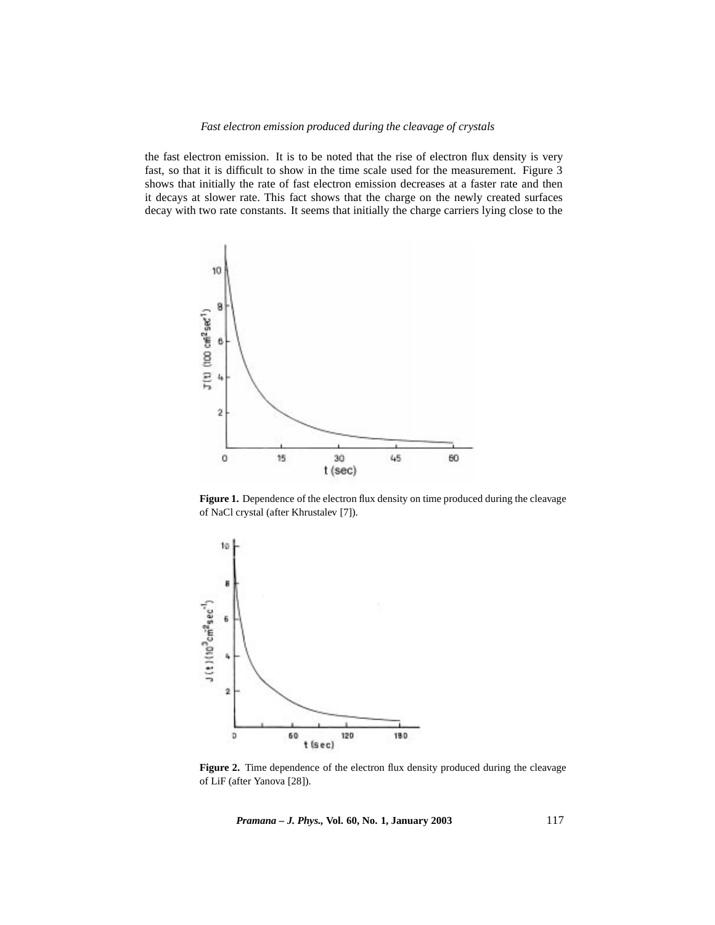the fast electron emission. It is to be noted that the rise of electron flux density is very fast, so that it is difficult to show in the time scale used for the measurement. Figure 3 shows that initially the rate of fast electron emission decreases at a faster rate and then it decays at slower rate. This fact shows that the charge on the newly created surfaces decay with two rate constants. It seems that initially the charge carriers lying close to the



Figure 1. Dependence of the electron flux density on time produced during the cleavage of NaCl crystal (after Khrustalev [7]).



**Figure 2.** Time dependence of the electron flux density produced during the cleavage of LiF (after Yanova [28]).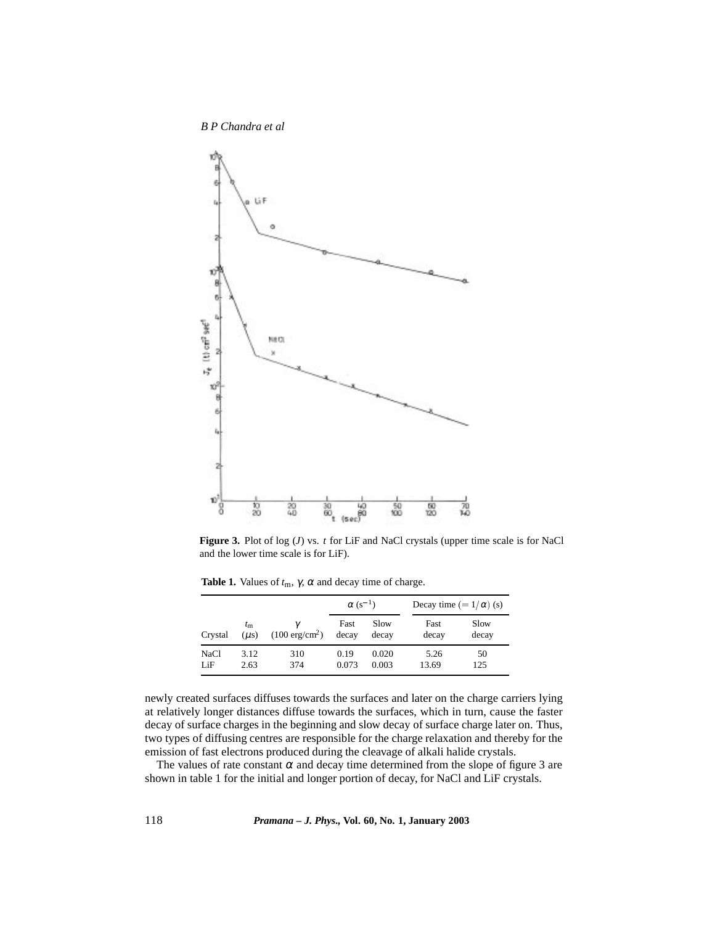*B P Chandra et al*



**Figure 3.** Plot of log (*J*) vs. *t* for LiF and NaCl crystals (upper time scale is for NaCl and the lower time scale is for LiF).

**Table 1.** Values of  $t_m$ ,  $\gamma$ ,  $\alpha$  and decay time of charge.

|             | $t_{\rm m}$<br>$(\mu s)$ | $(100 \text{ erg/cm}^2)$ | $\alpha$ (s <sup>-1</sup> ) |                | Decay time $( = 1/\alpha)$ (s) |               |
|-------------|--------------------------|--------------------------|-----------------------------|----------------|--------------------------------|---------------|
| Crystal     |                          |                          | Fast<br>decay               | Slow<br>decay  | Fast<br>decay                  | Slow<br>decay |
| NaCl<br>LiF | 3.12<br>2.63             | 310<br>374               | 0.19<br>0.073               | 0.020<br>0.003 | 5.26<br>13.69                  | 50<br>125     |

newly created surfaces diffuses towards the surfaces and later on the charge carriers lying at relatively longer distances diffuse towards the surfaces, which in turn, cause the faster decay of surface charges in the beginning and slow decay of surface charge later on. Thus, two types of diffusing centres are responsible for the charge relaxation and thereby for the emission of fast electrons produced during the cleavage of alkali halide crystals.

The values of rate constant  $\alpha$  and decay time determined from the slope of figure 3 are shown in table 1 for the initial and longer portion of decay, for NaCl and LiF crystals.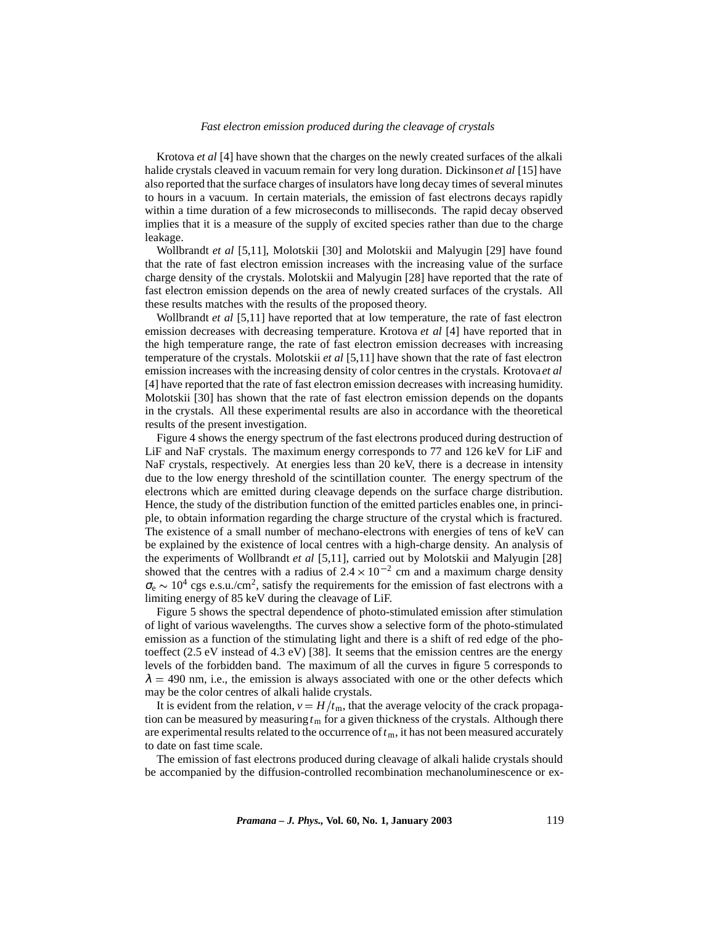Krotova *et al* [4] have shown that the charges on the newly created surfaces of the alkali halide crystals cleaved in vacuum remain for very long duration. Dickinson*et al* [15] have also reported that the surface charges of insulators have long decay times of several minutes to hours in a vacuum. In certain materials, the emission of fast electrons decays rapidly within a time duration of a few microseconds to milliseconds. The rapid decay observed implies that it is a measure of the supply of excited species rather than due to the charge leakage.

Wollbrandt *et al* [5,11], Molotskii [30] and Molotskii and Malyugin [29] have found that the rate of fast electron emission increases with the increasing value of the surface charge density of the crystals. Molotskii and Malyugin [28] have reported that the rate of fast electron emission depends on the area of newly created surfaces of the crystals. All these results matches with the results of the proposed theory.

Wollbrandt *et al* [5,11] have reported that at low temperature, the rate of fast electron emission decreases with decreasing temperature. Krotova *et al* [4] have reported that in the high temperature range, the rate of fast electron emission decreases with increasing temperature of the crystals. Molotskii *et al* [5,11] have shown that the rate of fast electron emission increases with the increasing density of color centres in the crystals. Krotova *et al* [4] have reported that the rate of fast electron emission decreases with increasing humidity. Molotskii [30] has shown that the rate of fast electron emission depends on the dopants in the crystals. All these experimental results are also in accordance with the theoretical results of the present investigation.

Figure 4 shows the energy spectrum of the fast electrons produced during destruction of LiF and NaF crystals. The maximum energy corresponds to 77 and 126 keV for LiF and NaF crystals, respectively. At energies less than 20 keV, there is a decrease in intensity due to the low energy threshold of the scintillation counter. The energy spectrum of the electrons which are emitted during cleavage depends on the surface charge distribution. Hence, the study of the distribution function of the emitted particles enables one, in principle, to obtain information regarding the charge structure of the crystal which is fractured. The existence of a small number of mechano-electrons with energies of tens of keV can be explained by the existence of local centres with a high-charge density. An analysis of the experiments of Wollbrandt *et al* [5,11], carried out by Molotskii and Malyugin [28] showed that the centres with a radius of  $2.4 \times 10^{-2}$  cm and a maximum charge density  $\sigma_{\rm e} \sim 10^4$  cgs e.s.u./cm<sup>2</sup>, satisfy the requirements for the emission of fast electrons with a limiting energy of 85 keV during the cleavage of LiF.

Figure 5 shows the spectral dependence of photo-stimulated emission after stimulation of light of various wavelengths. The curves show a selective form of the photo-stimulated emission as a function of the stimulating light and there is a shift of red edge of the photoeffect (2.5 eV instead of 4.3 eV) [38]. It seems that the emission centres are the energy levels of the forbidden band. The maximum of all the curves in figure 5 corresponds to  $\lambda = 490$  nm, i.e., the emission is always associated with one or the other defects which may be the color centres of alkali halide crystals.

It is evident from the relation,  $v = H/t<sub>m</sub>$ , that the average velocity of the crack propagation can be measured by measuring  $t_m$  for a given thickness of the crystals. Although there are experimental results related to the occurrence of  $t<sub>m</sub>$ , it has not been measured accurately to date on fast time scale.

The emission of fast electrons produced during cleavage of alkali halide crystals should be accompanied by the diffusion-controlled recombination mechanoluminescence or ex-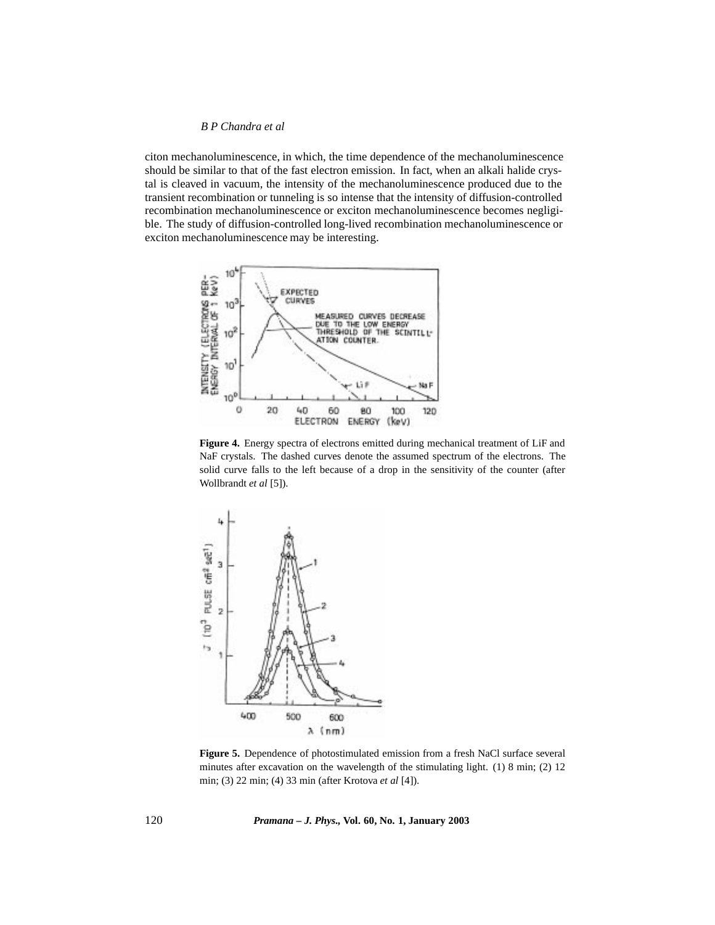citon mechanoluminescence, in which, the time dependence of the mechanoluminescence should be similar to that of the fast electron emission. In fact, when an alkali halide crystal is cleaved in vacuum, the intensity of the mechanoluminescence produced due to the transient recombination or tunneling is so intense that the intensity of diffusion-controlled recombination mechanoluminescence or exciton mechanoluminescence becomes negligible. The study of diffusion-controlled long-lived recombination mechanoluminescence or exciton mechanoluminescence may be interesting.



**Figure 4.** Energy spectra of electrons emitted during mechanical treatment of LiF and NaF crystals. The dashed curves denote the assumed spectrum of the electrons. The solid curve falls to the left because of a drop in the sensitivity of the counter (after Wollbrandt *et al* [5]).



**Figure 5.** Dependence of photostimulated emission from a fresh NaCl surface several minutes after excavation on the wavelength of the stimulating light. (1) 8 min; (2) 12 min; (3) 22 min; (4) 33 min (after Krotova *et al* [4]).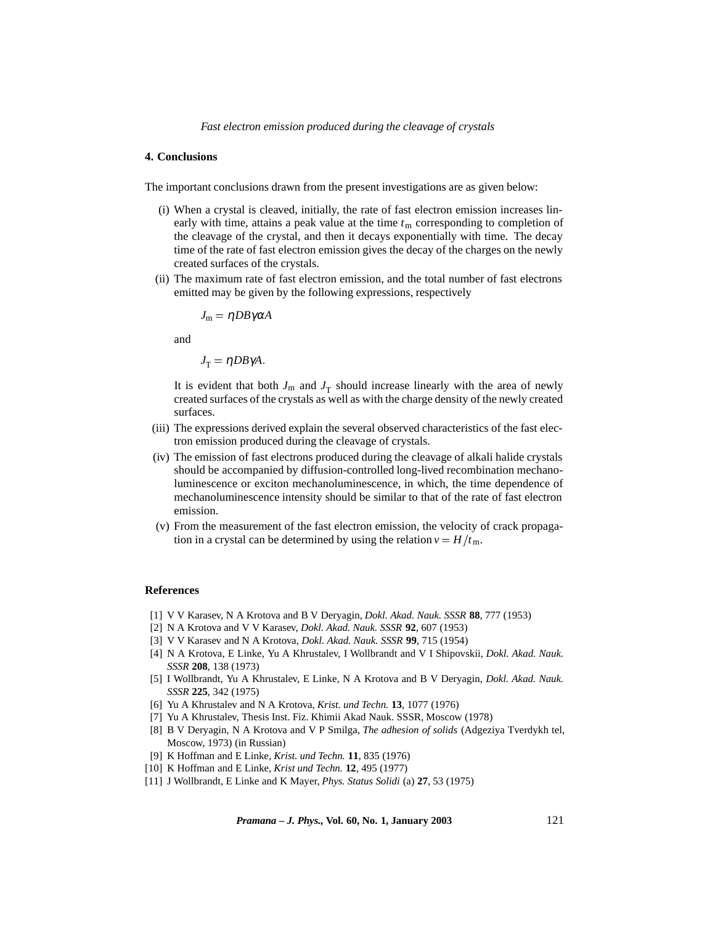#### **4. Conclusions**

The important conclusions drawn from the present investigations are as given below:

- (i) When a crystal is cleaved, initially, the rate of fast electron emission increases linearly with time, attains a peak value at the time  $t<sub>m</sub>$  corresponding to completion of the cleavage of the crystal, and then it decays exponentially with time. The decay time of the rate of fast electron emission gives the decay of the charges on the newly created surfaces of the crystals.
- (ii) The maximum rate of fast electron emission, and the total number of fast electrons emitted may be given by the following expressions, respectively

$$
J_{\rm m}=\eta DB\gamma\alpha A
$$

and

 $J<sub>T</sub> = ηDBγA$ .

It is evident that both  $J_{\text{m}}$  and  $J_{\text{T}}$  should increase linearly with the area of newly created surfaces of the crystals as well as with the charge density of the newly created surfaces.

- (iii) The expressions derived explain the several observed characteristics of the fast electron emission produced during the cleavage of crystals.
- (iv) The emission of fast electrons produced during the cleavage of alkali halide crystals should be accompanied by diffusion-controlled long-lived recombination mechanoluminescence or exciton mechanoluminescence, in which, the time dependence of mechanoluminescence intensity should be similar to that of the rate of fast electron emission.
- (v) From the measurement of the fast electron emission, the velocity of crack propagation in a crystal can be determined by using the relation  $v = H/t_{\text{m}}$ .

## **References**

- [1] V V Karasev, N A Krotova and B V Deryagin, *Dokl. Akad. Nauk. SSSR* **88**, 777 (1953)
- [2] N A Krotova and V V Karasev, *Dokl. Akad. Nauk. SSSR* **92**, 607 (1953)
- [3] V V Karasev and N A Krotova, *Dokl. Akad. Nauk. SSSR* **99**, 715 (1954)
- [4] N A Krotova, E Linke, Yu A Khrustalev, I Wollbrandt and V I Shipovskii, *Dokl. Akad. Nauk. SSSR* **208**, 138 (1973)
- [5] I Wollbrandt, Yu A Khrustalev, E Linke, N A Krotova and B V Deryagin, *Dokl. Akad. Nauk. SSSR* **225**, 342 (1975)
- [6] Yu A Khrustalev and N A Krotova, *Krist. und Techn.* **13**, 1077 (1976)
- [7] Yu A Khrustalev, Thesis Inst. Fiz. Khimii Akad Nauk. SSSR, Moscow (1978)
- [8] B V Deryagin, N A Krotova and V P Smilga, *The adhesion of solids* (Adgeziya Tverdykh tel, Moscow, 1973) (in Russian)
- [9] K Hoffman and E Linke, *Krist. und Techn.* **11**, 835 (1976)
- [10] K Hoffman and E Linke, *Krist und Techn.* **12**, 495 (1977)
- [11] J Wollbrandt, E Linke and K Mayer, *Phys. Status Solidi* (a) **27**, 53 (1975)